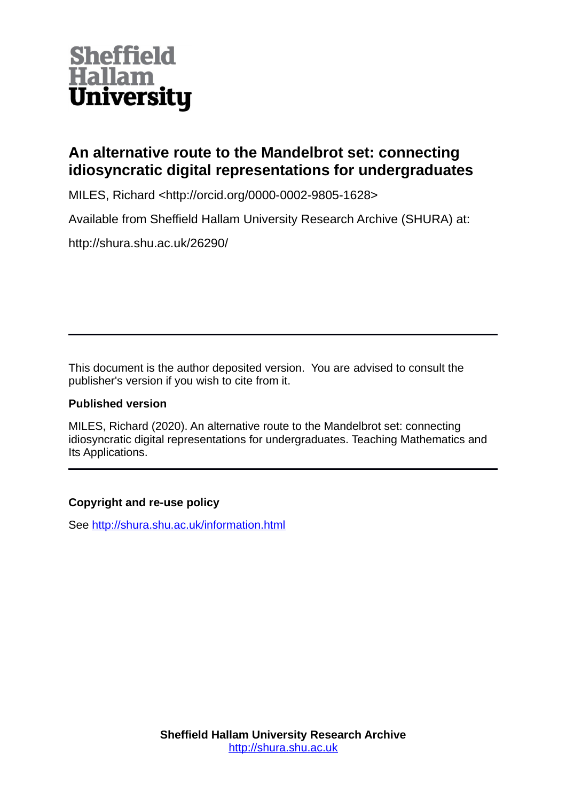

# **An alternative route to the Mandelbrot set: connecting idiosyncratic digital representations for undergraduates**

MILES, Richard <http://orcid.org/0000-0002-9805-1628>

Available from Sheffield Hallam University Research Archive (SHURA) at:

http://shura.shu.ac.uk/26290/

This document is the author deposited version. You are advised to consult the publisher's version if you wish to cite from it.

### **Published version**

MILES, Richard (2020). An alternative route to the Mandelbrot set: connecting idiosyncratic digital representations for undergraduates. Teaching Mathematics and Its Applications.

## **Copyright and re-use policy**

See<http://shura.shu.ac.uk/information.html>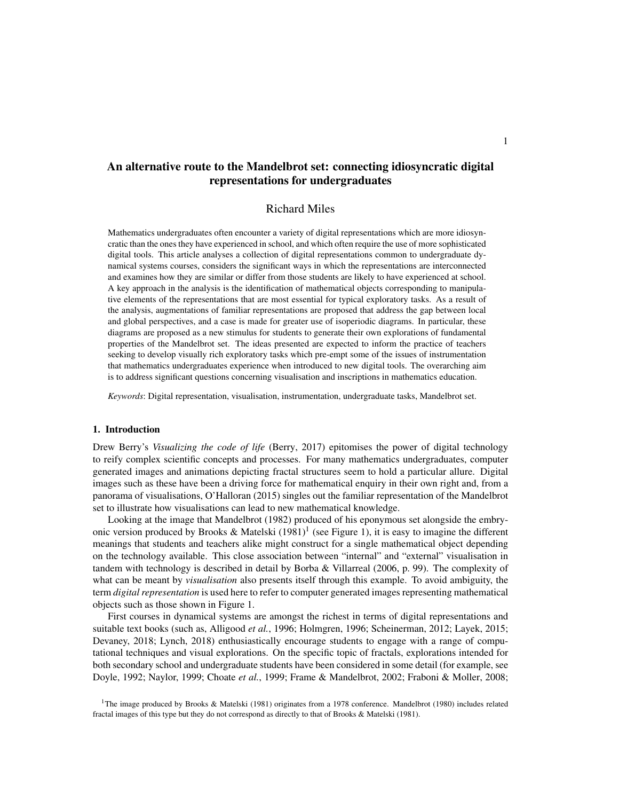### An alternative route to the Mandelbrot set: connecting idiosyncratic digital representations for undergraduates

#### Richard Miles

Mathematics undergraduates often encounter a variety of digital representations which are more idiosyncratic than the ones they have experienced in school, and which often require the use of more sophisticated digital tools. This article analyses a collection of digital representations common to undergraduate dynamical systems courses, considers the significant ways in which the representations are interconnected and examines how they are similar or differ from those students are likely to have experienced at school. A key approach in the analysis is the identification of mathematical objects corresponding to manipulative elements of the representations that are most essential for typical exploratory tasks. As a result of the analysis, augmentations of familiar representations are proposed that address the gap between local and global perspectives, and a case is made for greater use of isoperiodic diagrams. In particular, these diagrams are proposed as a new stimulus for students to generate their own explorations of fundamental properties of the Mandelbrot set. The ideas presented are expected to inform the practice of teachers seeking to develop visually rich exploratory tasks which pre-empt some of the issues of instrumentation that mathematics undergraduates experience when introduced to new digital tools. The overarching aim is to address significant questions concerning visualisation and inscriptions in mathematics education.

*Keywords*: Digital representation, visualisation, instrumentation, undergraduate tasks, Mandelbrot set.

#### 1. Introduction

Drew Berry's *Visualizing the code of life* (Berry, 2017) epitomises the power of digital technology to reify complex scientific concepts and processes. For many mathematics undergraduates, computer generated images and animations depicting fractal structures seem to hold a particular allure. Digital images such as these have been a driving force for mathematical enquiry in their own right and, from a panorama of visualisations, O'Halloran (2015) singles out the familiar representation of the Mandelbrot set to illustrate how visualisations can lead to new mathematical knowledge.

Looking at the image that Mandelbrot (1982) produced of his eponymous set alongside the embryonic version produced by Brooks & Matelski  $(1981)^1$  (see Figure 1), it is easy to imagine the different meanings that students and teachers alike might construct for a single mathematical object depending on the technology available. This close association between "internal" and "external" visualisation in tandem with technology is described in detail by Borba & Villarreal (2006, p. 99). The complexity of what can be meant by *visualisation* also presents itself through this example. To avoid ambiguity, the term *digital representation* is used here to refer to computer generated images representing mathematical objects such as those shown in Figure 1.

First courses in dynamical systems are amongst the richest in terms of digital representations and suitable text books (such as, Alligood *et al.*, 1996; Holmgren, 1996; Scheinerman, 2012; Layek, 2015; Devaney, 2018; Lynch, 2018) enthusiastically encourage students to engage with a range of computational techniques and visual explorations. On the specific topic of fractals, explorations intended for both secondary school and undergraduate students have been considered in some detail (for example, see Doyle, 1992; Naylor, 1999; Choate *et al.*, 1999; Frame & Mandelbrot, 2002; Fraboni & Moller, 2008;

<sup>1</sup>The image produced by Brooks & Matelski (1981) originates from a 1978 conference. Mandelbrot (1980) includes related fractal images of this type but they do not correspond as directly to that of Brooks & Matelski (1981).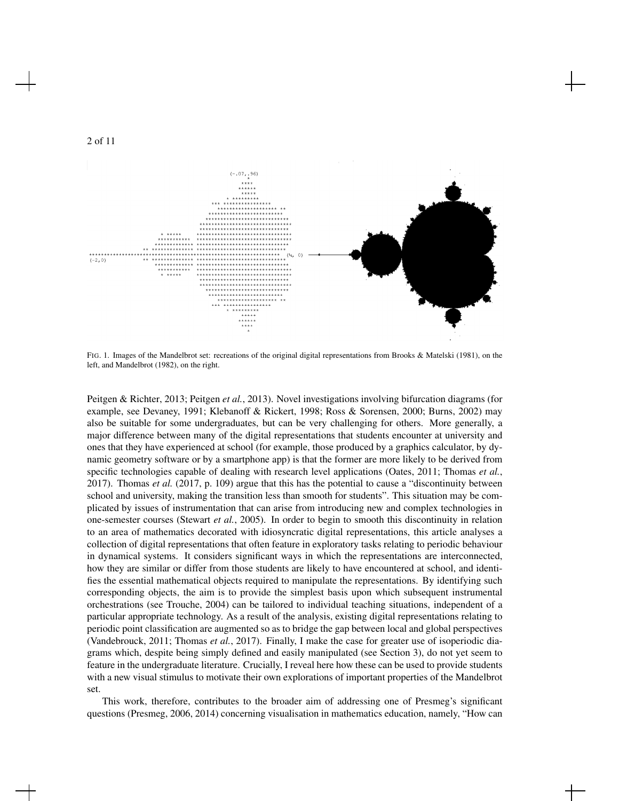

FIG. 1. Images of the Mandelbrot set: recreations of the original digital representations from Brooks & Matelski (1981), on the left, and Mandelbrot (1982), on the right.

Peitgen & Richter, 2013; Peitgen *et al.*, 2013). Novel investigations involving bifurcation diagrams (for example, see Devaney, 1991; Klebanoff & Rickert, 1998; Ross & Sorensen, 2000; Burns, 2002) may also be suitable for some undergraduates, but can be very challenging for others. More generally, a major difference between many of the digital representations that students encounter at university and ones that they have experienced at school (for example, those produced by a graphics calculator, by dynamic geometry software or by a smartphone app) is that the former are more likely to be derived from specific technologies capable of dealing with research level applications (Oates, 2011; Thomas *et al.*, 2017). Thomas *et al.* (2017, p. 109) argue that this has the potential to cause a "discontinuity between school and university, making the transition less than smooth for students". This situation may be complicated by issues of instrumentation that can arise from introducing new and complex technologies in one-semester courses (Stewart *et al.*, 2005). In order to begin to smooth this discontinuity in relation to an area of mathematics decorated with idiosyncratic digital representations, this article analyses a collection of digital representations that often feature in exploratory tasks relating to periodic behaviour in dynamical systems. It considers significant ways in which the representations are interconnected, how they are similar or differ from those students are likely to have encountered at school, and identifies the essential mathematical objects required to manipulate the representations. By identifying such corresponding objects, the aim is to provide the simplest basis upon which subsequent instrumental orchestrations (see Trouche, 2004) can be tailored to individual teaching situations, independent of a particular appropriate technology. As a result of the analysis, existing digital representations relating to periodic point classification are augmented so as to bridge the gap between local and global perspectives (Vandebrouck, 2011; Thomas *et al.*, 2017). Finally, I make the case for greater use of isoperiodic diagrams which, despite being simply defined and easily manipulated (see Section 3), do not yet seem to feature in the undergraduate literature. Crucially, I reveal here how these can be used to provide students with a new visual stimulus to motivate their own explorations of important properties of the Mandelbrot set.

This work, therefore, contributes to the broader aim of addressing one of Presmeg's significant questions (Presmeg, 2006, 2014) concerning visualisation in mathematics education, namely, "How can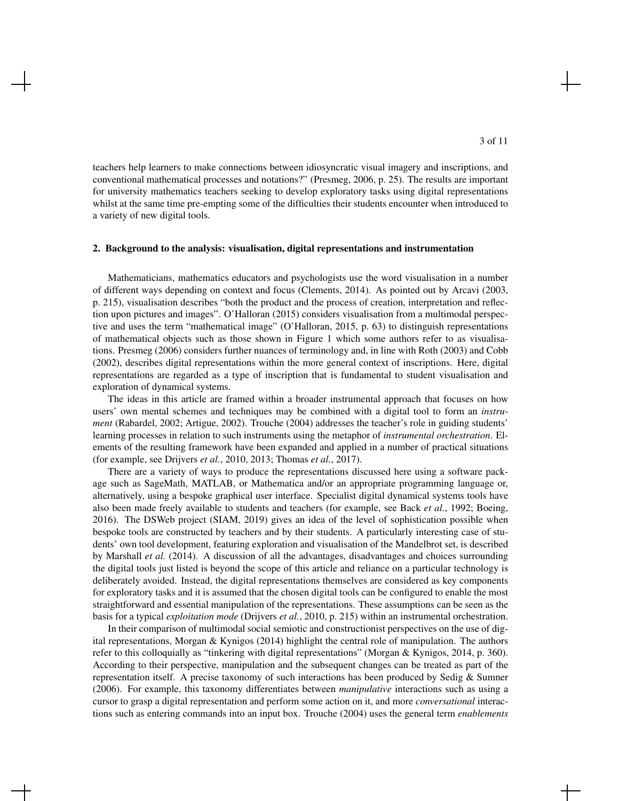teachers help learners to make connections between idiosyncratic visual imagery and inscriptions, and conventional mathematical processes and notations?" (Presmeg, 2006, p. 25). The results are important for university mathematics teachers seeking to develop exploratory tasks using digital representations whilst at the same time pre-empting some of the difficulties their students encounter when introduced to a variety of new digital tools.

#### 2. Background to the analysis: visualisation, digital representations and instrumentation

Mathematicians, mathematics educators and psychologists use the word visualisation in a number of different ways depending on context and focus (Clements, 2014). As pointed out by Arcavi (2003, p. 215), visualisation describes "both the product and the process of creation, interpretation and reflection upon pictures and images". O'Halloran (2015) considers visualisation from a multimodal perspective and uses the term "mathematical image" (O'Halloran, 2015, p. 63) to distinguish representations of mathematical objects such as those shown in Figure 1 which some authors refer to as visualisations. Presmeg (2006) considers further nuances of terminology and, in line with Roth (2003) and Cobb (2002), describes digital representations within the more general context of inscriptions. Here, digital representations are regarded as a type of inscription that is fundamental to student visualisation and exploration of dynamical systems.

The ideas in this article are framed within a broader instrumental approach that focuses on how users' own mental schemes and techniques may be combined with a digital tool to form an *instrument* (Rabardel, 2002; Artigue, 2002). Trouche (2004) addresses the teacher's role in guiding students' learning processes in relation to such instruments using the metaphor of *instrumental orchestration*. Elements of the resulting framework have been expanded and applied in a number of practical situations (for example, see Drijvers *et al.*, 2010, 2013; Thomas *et al.*, 2017).

There are a variety of ways to produce the representations discussed here using a software package such as SageMath, MATLAB, or Mathematica and/or an appropriate programming language or, alternatively, using a bespoke graphical user interface. Specialist digital dynamical systems tools have also been made freely available to students and teachers (for example, see Back *et al.*, 1992; Boeing, 2016). The DSWeb project (SIAM, 2019) gives an idea of the level of sophistication possible when bespoke tools are constructed by teachers and by their students. A particularly interesting case of students' own tool development, featuring exploration and visualisation of the Mandelbrot set, is described by Marshall *et al.* (2014). A discussion of all the advantages, disadvantages and choices surrounding the digital tools just listed is beyond the scope of this article and reliance on a particular technology is deliberately avoided. Instead, the digital representations themselves are considered as key components for exploratory tasks and it is assumed that the chosen digital tools can be configured to enable the most straightforward and essential manipulation of the representations. These assumptions can be seen as the basis for a typical *exploitation mode* (Drijvers *et al.*, 2010, p. 215) within an instrumental orchestration.

In their comparison of multimodal social semiotic and constructionist perspectives on the use of digital representations, Morgan & Kynigos (2014) highlight the central role of manipulation. The authors refer to this colloquially as "tinkering with digital representations" (Morgan & Kynigos, 2014, p. 360). According to their perspective, manipulation and the subsequent changes can be treated as part of the representation itself. A precise taxonomy of such interactions has been produced by Sedig & Sumner (2006). For example, this taxonomy differentiates between *manipulative* interactions such as using a cursor to grasp a digital representation and perform some action on it, and more *conversational* interactions such as entering commands into an input box. Trouche (2004) uses the general term *enablements*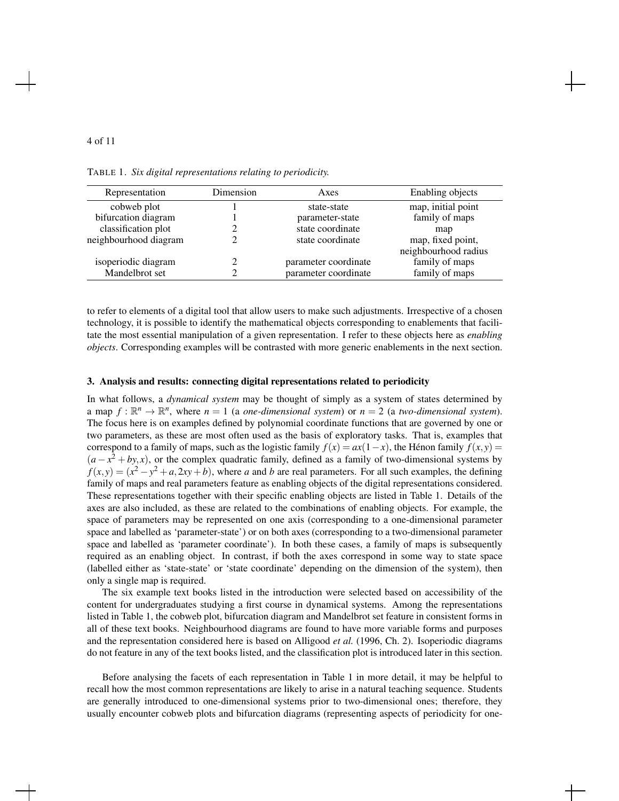|--|--|

TABLE 1. *Six digital representations relating to periodicity.*

| Representation        | Dimension | Axes                 | Enabling objects     |
|-----------------------|-----------|----------------------|----------------------|
| cobweb plot           |           | state-state          | map, initial point   |
| bifurcation diagram   |           | parameter-state      | family of maps       |
| classification plot   |           | state coordinate     | map                  |
| neighbourhood diagram |           | state coordinate     | map, fixed point,    |
|                       |           |                      | neighbourhood radius |
| isoperiodic diagram   |           | parameter coordinate | family of maps       |
| Mandelbrot set        |           | parameter coordinate | family of maps       |

to refer to elements of a digital tool that allow users to make such adjustments. Irrespective of a chosen technology, it is possible to identify the mathematical objects corresponding to enablements that facilitate the most essential manipulation of a given representation. I refer to these objects here as *enabling objects*. Corresponding examples will be contrasted with more generic enablements in the next section.

#### 3. Analysis and results: connecting digital representations related to periodicity

In what follows, a *dynamical system* may be thought of simply as a system of states determined by a map  $f: \mathbb{R}^n \to \mathbb{R}^n$ , where  $n = 1$  (a *one-dimensional system*) or  $n = 2$  (a *two-dimensional system*). The focus here is on examples defined by polynomial coordinate functions that are governed by one or two parameters, as these are most often used as the basis of exploratory tasks. That is, examples that correspond to a family of maps, such as the logistic family  $f(x) = ax(1-x)$ , the Hénon family  $f(x, y) =$  $(a - x^2 + by, x)$ , or the complex quadratic family, defined as a family of two-dimensional systems by  $f(x, y) = (x^2 - y^2 + a, 2xy + b)$ , where *a* and *b* are real parameters. For all such examples, the defining family of maps and real parameters feature as enabling objects of the digital representations considered. These representations together with their specific enabling objects are listed in Table 1. Details of the axes are also included, as these are related to the combinations of enabling objects. For example, the space of parameters may be represented on one axis (corresponding to a one-dimensional parameter space and labelled as 'parameter-state') or on both axes (corresponding to a two-dimensional parameter space and labelled as 'parameter coordinate'). In both these cases, a family of maps is subsequently required as an enabling object. In contrast, if both the axes correspond in some way to state space (labelled either as 'state-state' or 'state coordinate' depending on the dimension of the system), then only a single map is required.

The six example text books listed in the introduction were selected based on accessibility of the content for undergraduates studying a first course in dynamical systems. Among the representations listed in Table 1, the cobweb plot, bifurcation diagram and Mandelbrot set feature in consistent forms in all of these text books. Neighbourhood diagrams are found to have more variable forms and purposes and the representation considered here is based on Alligood *et al.* (1996, Ch. 2). Isoperiodic diagrams do not feature in any of the text books listed, and the classification plot is introduced later in this section.

Before analysing the facets of each representation in Table 1 in more detail, it may be helpful to recall how the most common representations are likely to arise in a natural teaching sequence. Students are generally introduced to one-dimensional systems prior to two-dimensional ones; therefore, they usually encounter cobweb plots and bifurcation diagrams (representing aspects of periodicity for one-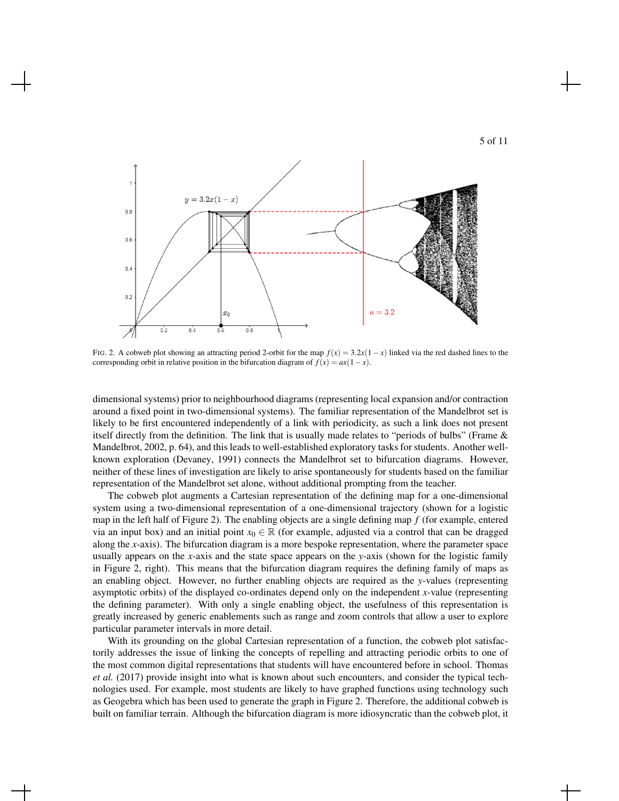



FIG. 2. A cobweb plot showing an attracting period 2-orbit for the map  $f(x) = 3.2x(1-x)$  linked via the red dashed lines to the corresponding orbit in relative position in the bifurcation diagram of  $f(x) = ax(1-x)$ .

dimensional systems) prior to neighbourhood diagrams (representing local expansion and/or contraction around a fixed point in two-dimensional systems). The familiar representation of the Mandelbrot set is likely to be first encountered independently of a link with periodicity, as such a link does not present itself directly from the definition. The link that is usually made relates to "periods of bulbs" (Frame & Mandelbrot, 2002, p. 64), and this leads to well-established exploratory tasks for students. Another wellknown exploration (Devaney, 1991) connects the Mandelbrot set to bifurcation diagrams. However, neither of these lines of investigation are likely to arise spontaneously for students based on the familiar representation of the Mandelbrot set alone, without additional prompting from the teacher.

The cobweb plot augments a Cartesian representation of the defining map for a one-dimensional system using a two-dimensional representation of a one-dimensional trajectory (shown for a logistic map in the left half of Figure 2). The enabling objects are a single defining map *f* (for example, entered via an input box) and an initial point  $x_0 \in \mathbb{R}$  (for example, adjusted via a control that can be dragged along the *x*-axis). The bifurcation diagram is a more bespoke representation, where the parameter space usually appears on the *x*-axis and the state space appears on the *y*-axis (shown for the logistic family in Figure 2, right). This means that the bifurcation diagram requires the defining family of maps as an enabling object. However, no further enabling objects are required as the *y*-values (representing asymptotic orbits) of the displayed co-ordinates depend only on the independent *x*-value (representing the defining parameter). With only a single enabling object, the usefulness of this representation is greatly increased by generic enablements such as range and zoom controls that allow a user to explore particular parameter intervals in more detail.

With its grounding on the global Cartesian representation of a function, the cobweb plot satisfactorily addresses the issue of linking the concepts of repelling and attracting periodic orbits to one of the most common digital representations that students will have encountered before in school. Thomas *et al.* (2017) provide insight into what is known about such encounters, and consider the typical technologies used. For example, most students are likely to have graphed functions using technology such as Geogebra which has been used to generate the graph in Figure 2. Therefore, the additional cobweb is built on familiar terrain. Although the bifurcation diagram is more idiosyncratic than the cobweb plot, it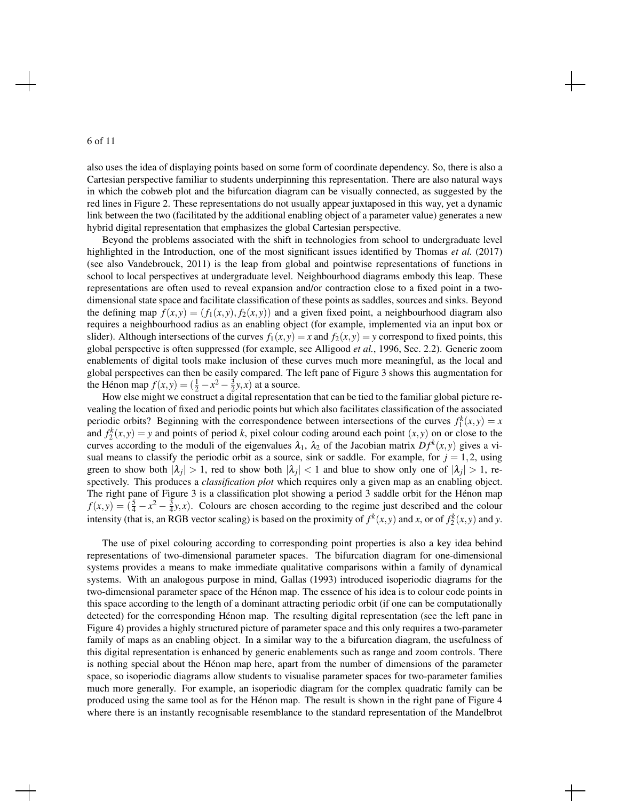also uses the idea of displaying points based on some form of coordinate dependency. So, there is also a Cartesian perspective familiar to students underpinning this representation. There are also natural ways in which the cobweb plot and the bifurcation diagram can be visually connected, as suggested by the red lines in Figure 2. These representations do not usually appear juxtaposed in this way, yet a dynamic link between the two (facilitated by the additional enabling object of a parameter value) generates a new hybrid digital representation that emphasizes the global Cartesian perspective.

Beyond the problems associated with the shift in technologies from school to undergraduate level highlighted in the Introduction, one of the most significant issues identified by Thomas *et al.* (2017) (see also Vandebrouck, 2011) is the leap from global and pointwise representations of functions in school to local perspectives at undergraduate level. Neighbourhood diagrams embody this leap. These representations are often used to reveal expansion and/or contraction close to a fixed point in a twodimensional state space and facilitate classification of these points as saddles, sources and sinks. Beyond the defining map  $f(x, y) = (f_1(x, y), f_2(x, y))$  and a given fixed point, a neighbourhood diagram also requires a neighbourhood radius as an enabling object (for example, implemented via an input box or slider). Although intersections of the curves  $f_1(x, y) = x$  and  $f_2(x, y) = y$  correspond to fixed points, this global perspective is often suppressed (for example, see Alligood *et al.*, 1996, Sec. 2.2). Generic zoom enablements of digital tools make inclusion of these curves much more meaningful, as the local and global perspectives can then be easily compared. The left pane of Figure 3 shows this augmentation for the Hénon map  $f(x, y) = (\frac{1}{2} - x^2 - \frac{3}{2}y, x)$  at a source.

How else might we construct a digital representation that can be tied to the familiar global picture revealing the location of fixed and periodic points but which also facilitates classification of the associated periodic orbits? Beginning with the correspondence between intersections of the curves  $f_1^k(x, y) = x$ and  $f_2^k(x, y) = y$  and points of period *k*, pixel colour coding around each point  $(x, y)$  on or close to the curves according to the moduli of the eigenvalues  $\lambda_1$ ,  $\lambda_2$  of the Jacobian matrix  $Df^k(x, y)$  gives a visual means to classify the periodic orbit as a source, sink or saddle. For example, for  $j = 1, 2$ , using green to show both  $|\lambda_j| > 1$ , red to show both  $|\lambda_j| < 1$  and blue to show only one of  $|\lambda_j| > 1$ , respectively. This produces a *classification plot* which requires only a given map as an enabling object. The right pane of Figure 3 is a classification plot showing a period 3 saddle orbit for the Hénon map  $f(x,y) = (\frac{5}{4} - x^2 - \frac{3}{4}y, x)$ . Colours are chosen according to the regime just described and the colour intensity (that is, an RGB vector scaling) is based on the proximity of  $f^k(x, y)$  and *x*, or of  $f^k_2(x, y)$  and *y*.

The use of pixel colouring according to corresponding point properties is also a key idea behind representations of two-dimensional parameter spaces. The bifurcation diagram for one-dimensional systems provides a means to make immediate qualitative comparisons within a family of dynamical systems. With an analogous purpose in mind, Gallas (1993) introduced isoperiodic diagrams for the two-dimensional parameter space of the Henon map. The essence of his idea is to colour code points in ´ this space according to the length of a dominant attracting periodic orbit (if one can be computationally detected) for the corresponding Hénon map. The resulting digital representation (see the left pane in Figure 4) provides a highly structured picture of parameter space and this only requires a two-parameter family of maps as an enabling object. In a similar way to the a bifurcation diagram, the usefulness of this digital representation is enhanced by generic enablements such as range and zoom controls. There is nothing special about the Henon map here, apart from the number of dimensions of the parameter ´ space, so isoperiodic diagrams allow students to visualise parameter spaces for two-parameter families much more generally. For example, an isoperiodic diagram for the complex quadratic family can be produced using the same tool as for the Henon map. The result is shown in the right pane of Figure 4 ´ where there is an instantly recognisable resemblance to the standard representation of the Mandelbrot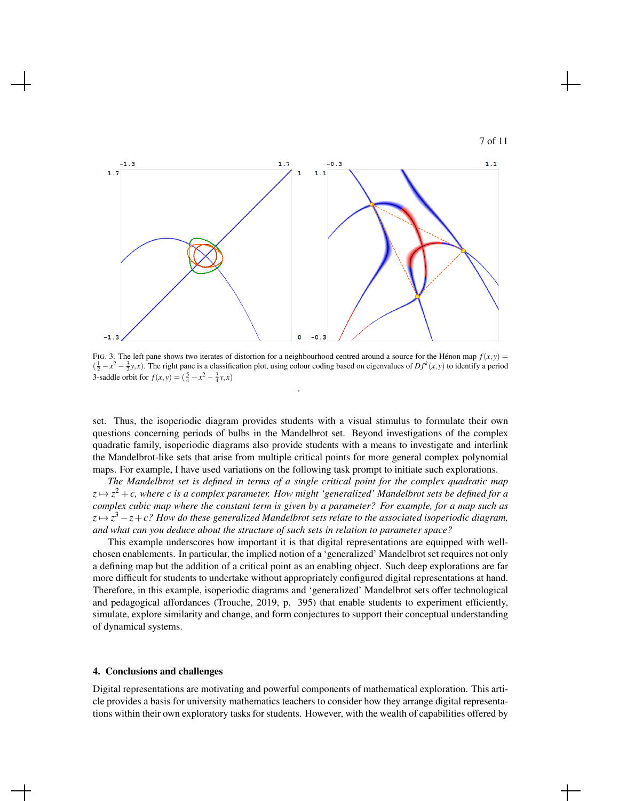



FIG. 3. The left pane shows two iterates of distortion for a neighbourhood centred around a source for the Hénon map  $f(x, y)$  $(\frac{1}{2} - x^2 - \frac{3}{2}y, x)$ . The right pane is a classification plot, using colour coding based on eigenvalues of  $Df^k(x, y)$  to identify a period 3-saddle orbit for  $f(x, y) = (\frac{5}{4} - x^2 - \frac{3}{4}y, x)$ 

.

set. Thus, the isoperiodic diagram provides students with a visual stimulus to formulate their own questions concerning periods of bulbs in the Mandelbrot set. Beyond investigations of the complex quadratic family, isoperiodic diagrams also provide students with a means to investigate and interlink the Mandelbrot-like sets that arise from multiple critical points for more general complex polynomial maps. For example, I have used variations on the following task prompt to initiate such explorations.

*The Mandelbrot set is defined in terms of a single critical point for the complex quadratic map*  $z \mapsto z^2+c$ , where c is a complex parameter. How might 'generalized' Mandelbrot sets be defined for a *complex cubic map where the constant term is given by a parameter? For example, for a map such as z* 7→ *z* <sup>3</sup> −*z*+*c? How do these generalized Mandelbrot sets relate to the associated isoperiodic diagram, and what can you deduce about the structure of such sets in relation to parameter space?*

This example underscores how important it is that digital representations are equipped with wellchosen enablements. In particular, the implied notion of a 'generalized' Mandelbrot set requires not only a defining map but the addition of a critical point as an enabling object. Such deep explorations are far more difficult for students to undertake without appropriately configured digital representations at hand. Therefore, in this example, isoperiodic diagrams and 'generalized' Mandelbrot sets offer technological and pedagogical affordances (Trouche, 2019, p. 395) that enable students to experiment efficiently, simulate, explore similarity and change, and form conjectures to support their conceptual understanding of dynamical systems.

#### 4. Conclusions and challenges

Digital representations are motivating and powerful components of mathematical exploration. This article provides a basis for university mathematics teachers to consider how they arrange digital representations within their own exploratory tasks for students. However, with the wealth of capabilities offered by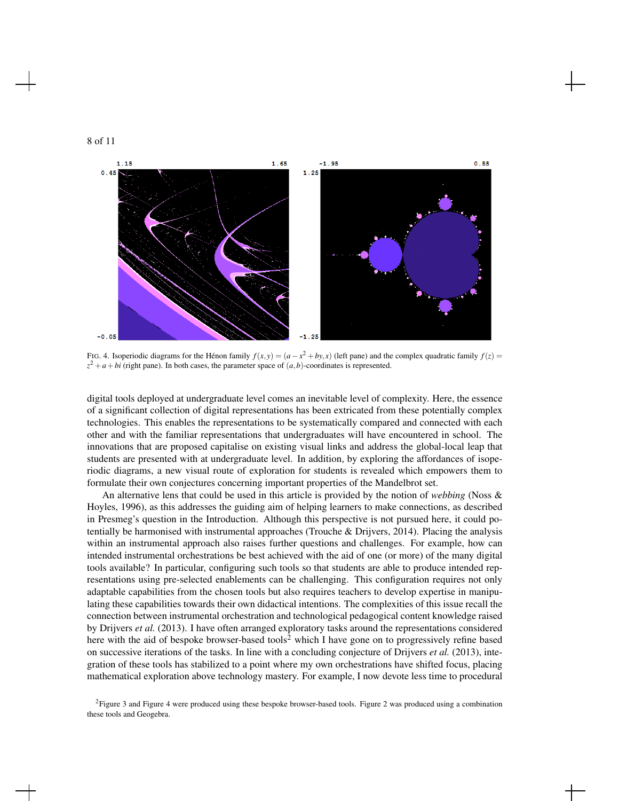



FIG. 4. Isoperiodic diagrams for the Hénon family  $f(x, y) = (a - x^2 + by, x)$  (left pane) and the complex quadratic family  $f(z) = f(z)$  $z^2 + a + bi$  (right pane). In both cases, the parameter space of  $(a, b)$ -coordinates is represented.

digital tools deployed at undergraduate level comes an inevitable level of complexity. Here, the essence of a significant collection of digital representations has been extricated from these potentially complex technologies. This enables the representations to be systematically compared and connected with each other and with the familiar representations that undergraduates will have encountered in school. The innovations that are proposed capitalise on existing visual links and address the global-local leap that students are presented with at undergraduate level. In addition, by exploring the affordances of isoperiodic diagrams, a new visual route of exploration for students is revealed which empowers them to formulate their own conjectures concerning important properties of the Mandelbrot set.

An alternative lens that could be used in this article is provided by the notion of *webbing* (Noss & Hoyles, 1996), as this addresses the guiding aim of helping learners to make connections, as described in Presmeg's question in the Introduction. Although this perspective is not pursued here, it could potentially be harmonised with instrumental approaches (Trouche  $\&$  Drijvers, 2014). Placing the analysis within an instrumental approach also raises further questions and challenges. For example, how can intended instrumental orchestrations be best achieved with the aid of one (or more) of the many digital tools available? In particular, configuring such tools so that students are able to produce intended representations using pre-selected enablements can be challenging. This configuration requires not only adaptable capabilities from the chosen tools but also requires teachers to develop expertise in manipulating these capabilities towards their own didactical intentions. The complexities of this issue recall the connection between instrumental orchestration and technological pedagogical content knowledge raised by Drijvers *et al.* (2013). I have often arranged exploratory tasks around the representations considered here with the aid of bespoke browser-based tools<sup>2</sup> which I have gone on to progressively refine based on successive iterations of the tasks. In line with a concluding conjecture of Drijvers *et al.* (2013), integration of these tools has stabilized to a point where my own orchestrations have shifted focus, placing mathematical exploration above technology mastery. For example, I now devote less time to procedural

<sup>&</sup>lt;sup>2</sup>Figure 3 and Figure 4 were produced using these bespoke browser-based tools. Figure 2 was produced using a combination these tools and Geogebra.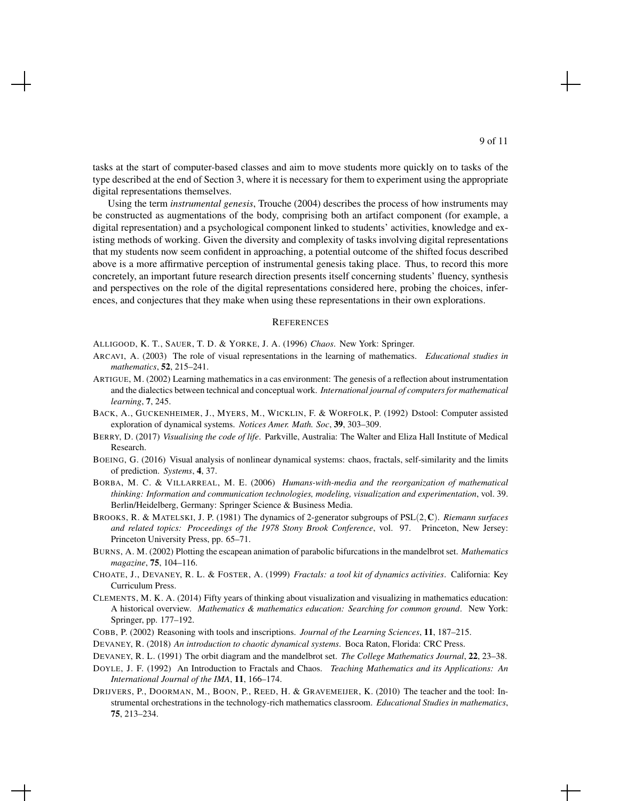tasks at the start of computer-based classes and aim to move students more quickly on to tasks of the type described at the end of Section 3, where it is necessary for them to experiment using the appropriate digital representations themselves.

Using the term *instrumental genesis*, Trouche (2004) describes the process of how instruments may be constructed as augmentations of the body, comprising both an artifact component (for example, a digital representation) and a psychological component linked to students' activities, knowledge and existing methods of working. Given the diversity and complexity of tasks involving digital representations that my students now seem confident in approaching, a potential outcome of the shifted focus described above is a more affirmative perception of instrumental genesis taking place. Thus, to record this more concretely, an important future research direction presents itself concerning students' fluency, synthesis and perspectives on the role of the digital representations considered here, probing the choices, inferences, and conjectures that they make when using these representations in their own explorations.

#### **REFERENCES**

ALLIGOOD, K. T., SAUER, T. D. & YORKE, J. A. (1996) *Chaos*. New York: Springer.

- ARCAVI, A. (2003) The role of visual representations in the learning of mathematics. *Educational studies in mathematics*, 52, 215–241.
- ARTIGUE, M. (2002) Learning mathematics in a cas environment: The genesis of a reflection about instrumentation and the dialectics between technical and conceptual work. *International journal of computers for mathematical learning*, 7, 245.
- BACK, A., GUCKENHEIMER, J., MYERS, M., WICKLIN, F. & WORFOLK, P. (1992) Dstool: Computer assisted exploration of dynamical systems. *Notices Amer. Math. Soc*, 39, 303–309.
- BERRY, D. (2017) *Visualising the code of life*. Parkville, Australia: The Walter and Eliza Hall Institute of Medical Research.
- BOEING, G. (2016) Visual analysis of nonlinear dynamical systems: chaos, fractals, self-similarity and the limits of prediction. *Systems*, 4, 37.
- BORBA, M. C. & VILLARREAL, M. E. (2006) *Humans-with-media and the reorganization of mathematical thinking: Information and communication technologies, modeling, visualization and experimentation*, vol. 39. Berlin/Heidelberg, Germany: Springer Science & Business Media.
- BROOKS, R. & MATELSKI, J. P. (1981) The dynamics of 2-generator subgroups of PSL(2,C). *Riemann surfaces and related topics: Proceedings of the 1978 Stony Brook Conference*, vol. 97. Princeton, New Jersey: Princeton University Press, pp. 65–71.
- BURNS, A. M. (2002) Plotting the escapean animation of parabolic bifurcations in the mandelbrot set. *Mathematics magazine*, 75, 104–116.
- CHOATE, J., DEVANEY, R. L. & FOSTER, A. (1999) *Fractals: a tool kit of dynamics activities*. California: Key Curriculum Press.
- CLEMENTS, M. K. A. (2014) Fifty years of thinking about visualization and visualizing in mathematics education: A historical overview. *Mathematics & mathematics education: Searching for common ground*. New York: Springer, pp. 177–192.
- COBB, P. (2002) Reasoning with tools and inscriptions. *Journal of the Learning Sciences*, 11, 187–215.
- DEVANEY, R. (2018) *An introduction to chaotic dynamical systems*. Boca Raton, Florida: CRC Press.
- DEVANEY, R. L. (1991) The orbit diagram and the mandelbrot set. *The College Mathematics Journal*, 22, 23–38.
- DOYLE, J. F. (1992) An Introduction to Fractals and Chaos. *Teaching Mathematics and its Applications: An International Journal of the IMA*, 11, 166–174.
- DRIJVERS, P., DOORMAN, M., BOON, P., REED, H. & GRAVEMEIJER, K. (2010) The teacher and the tool: Instrumental orchestrations in the technology-rich mathematics classroom. *Educational Studies in mathematics*, 75, 213–234.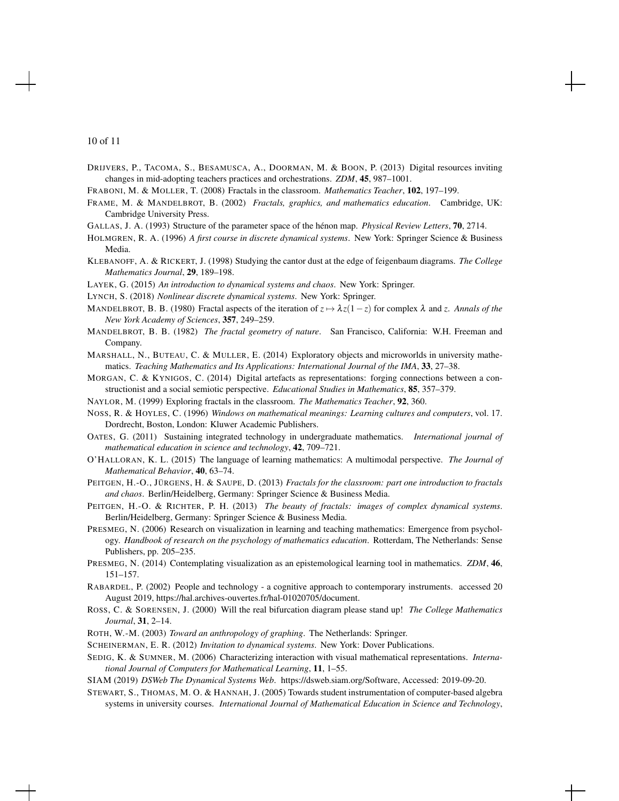DRIJVERS, P., TACOMA, S., BESAMUSCA, A., DOORMAN, M. & BOON, P. (2013) Digital resources inviting changes in mid-adopting teachers practices and orchestrations. *ZDM*, 45, 987–1001.

FRABONI, M. & MOLLER, T. (2008) Fractals in the classroom. *Mathematics Teacher*, 102, 197–199.

FRAME, M. & MANDELBROT, B. (2002) *Fractals, graphics, and mathematics education*. Cambridge, UK: Cambridge University Press.

GALLAS, J. A. (1993) Structure of the parameter space of the hénon map. *Physical Review Letters*, **70**, 2714.

- HOLMGREN, R. A. (1996) *A first course in discrete dynamical systems*. New York: Springer Science & Business Media.
- KLEBANOFF, A. & RICKERT, J. (1998) Studying the cantor dust at the edge of feigenbaum diagrams. *The College Mathematics Journal*, 29, 189–198.
- LAYEK, G. (2015) *An introduction to dynamical systems and chaos*. New York: Springer.
- LYNCH, S. (2018) *Nonlinear discrete dynamical systems*. New York: Springer.
- MANDELBROT, B. B. (1980) Fractal aspects of the iteration of  $z \mapsto \lambda z(1-z)$  for complex  $\lambda$  and *z*. *Annals of the New York Academy of Sciences*, 357, 249–259.
- MANDELBROT, B. B. (1982) *The fractal geometry of nature*. San Francisco, California: W.H. Freeman and Company.

MARSHALL, N., BUTEAU, C. & MULLER, E. (2014) Exploratory objects and microworlds in university mathematics. *Teaching Mathematics and Its Applications: International Journal of the IMA*, 33, 27–38.

- MORGAN, C. & KYNIGOS, C. (2014) Digital artefacts as representations: forging connections between a constructionist and a social semiotic perspective. *Educational Studies in Mathematics*, 85, 357–379.
- NAYLOR, M. (1999) Exploring fractals in the classroom. *The Mathematics Teacher*, 92, 360.
- NOSS, R. & HOYLES, C. (1996) *Windows on mathematical meanings: Learning cultures and computers*, vol. 17. Dordrecht, Boston, London: Kluwer Academic Publishers.
- OATES, G. (2011) Sustaining integrated technology in undergraduate mathematics. *International journal of mathematical education in science and technology*, 42, 709–721.
- O'HALLORAN, K. L. (2015) The language of learning mathematics: A multimodal perspective. *The Journal of Mathematical Behavior*, 40, 63–74.
- PEITGEN, H.-O., JÜRGENS, H. & SAUPE, D. (2013) *Fractals for the classroom: part one introduction to fractals and chaos*. Berlin/Heidelberg, Germany: Springer Science & Business Media.
- PEITGEN, H.-O. & RICHTER, P. H. (2013) *The beauty of fractals: images of complex dynamical systems*. Berlin/Heidelberg, Germany: Springer Science & Business Media.
- PRESMEG, N. (2006) Research on visualization in learning and teaching mathematics: Emergence from psychology. *Handbook of research on the psychology of mathematics education*. Rotterdam, The Netherlands: Sense Publishers, pp. 205–235.
- PRESMEG, N. (2014) Contemplating visualization as an epistemological learning tool in mathematics. *ZDM*, 46, 151–157.
- RABARDEL, P. (2002) People and technology a cognitive approach to contemporary instruments. accessed 20 August 2019, https://hal.archives-ouvertes.fr/hal-01020705/document.
- ROSS, C. & SORENSEN, J. (2000) Will the real bifurcation diagram please stand up! *The College Mathematics Journal*, 31, 2–14.
- ROTH, W.-M. (2003) *Toward an anthropology of graphing*. The Netherlands: Springer.

SCHEINERMAN, E. R. (2012) *Invitation to dynamical systems*. New York: Dover Publications.

- SEDIG, K. & SUMNER, M. (2006) Characterizing interaction with visual mathematical representations. *International Journal of Computers for Mathematical Learning*, 11, 1–55.
- SIAM (2019) *DSWeb The Dynamical Systems Web*. https://dsweb.siam.org/Software, Accessed: 2019-09-20.
- STEWART, S., THOMAS, M. O. & HANNAH, J. (2005) Towards student instrumentation of computer-based algebra systems in university courses. *International Journal of Mathematical Education in Science and Technology*,